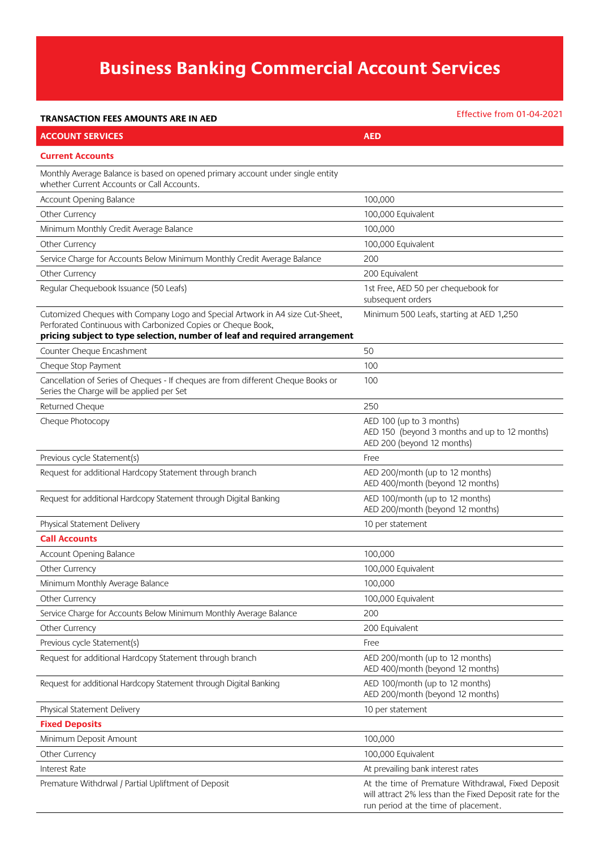## **Business Banking Commercial Account Services**

## **TRANSACTION FEES AMOUNTS ARE IN AED**

Effective from 01-04-2021

| <b>ACCOUNT SERVICES</b>                                                                                                                                                                                                     | <b>AED</b>                                                                                                                                             |  |
|-----------------------------------------------------------------------------------------------------------------------------------------------------------------------------------------------------------------------------|--------------------------------------------------------------------------------------------------------------------------------------------------------|--|
| <b>Current Accounts</b>                                                                                                                                                                                                     |                                                                                                                                                        |  |
| Monthly Average Balance is based on opened primary account under single entity<br>whether Current Accounts or Call Accounts.                                                                                                |                                                                                                                                                        |  |
| Account Opening Balance                                                                                                                                                                                                     | 100,000                                                                                                                                                |  |
| Other Currency                                                                                                                                                                                                              | 100,000 Equivalent                                                                                                                                     |  |
| Minimum Monthly Credit Average Balance                                                                                                                                                                                      | 100,000                                                                                                                                                |  |
| Other Currency                                                                                                                                                                                                              | 100,000 Equivalent                                                                                                                                     |  |
| Service Charge for Accounts Below Minimum Monthly Credit Average Balance                                                                                                                                                    | 200                                                                                                                                                    |  |
| Other Currency                                                                                                                                                                                                              | 200 Equivalent                                                                                                                                         |  |
| Regular Chequebook Issuance (50 Leafs)                                                                                                                                                                                      | 1st Free, AED 50 per chequebook for<br>subsequent orders                                                                                               |  |
| Cutomized Cheques with Company Logo and Special Artwork in A4 size Cut-Sheet,<br>Perforated Continuous with Carbonized Copies or Cheque Book,<br>pricing subject to type selection, number of leaf and required arrangement | Minimum 500 Leafs, starting at AED 1,250                                                                                                               |  |
| Counter Cheque Encashment                                                                                                                                                                                                   | 50                                                                                                                                                     |  |
| Cheque Stop Payment                                                                                                                                                                                                         | 100                                                                                                                                                    |  |
| Cancellation of Series of Cheques - If cheques are from different Cheque Books or<br>Series the Charge will be applied per Set                                                                                              | 100                                                                                                                                                    |  |
| Returned Cheque                                                                                                                                                                                                             | 250                                                                                                                                                    |  |
| Cheque Photocopy                                                                                                                                                                                                            | AED 100 (up to 3 months)<br>AED 150 (beyond 3 months and up to 12 months)<br>AED 200 (beyond 12 months)                                                |  |
| Previous cycle Statement(s)                                                                                                                                                                                                 | Free                                                                                                                                                   |  |
| Request for additional Hardcopy Statement through branch                                                                                                                                                                    | AED 200/month (up to 12 months)<br>AED 400/month (beyond 12 months)                                                                                    |  |
| Request for additional Hardcopy Statement through Digital Banking                                                                                                                                                           | AED 100/month (up to 12 months)<br>AED 200/month (beyond 12 months)                                                                                    |  |
| Physical Statement Delivery                                                                                                                                                                                                 | 10 per statement                                                                                                                                       |  |
| <b>Call Accounts</b>                                                                                                                                                                                                        |                                                                                                                                                        |  |
| Account Opening Balance                                                                                                                                                                                                     | 100,000                                                                                                                                                |  |
| Other Currency                                                                                                                                                                                                              | 100,000 Equivalent                                                                                                                                     |  |
| Minimum Monthly Average Balance                                                                                                                                                                                             | 100,000                                                                                                                                                |  |
| Other Currency                                                                                                                                                                                                              | 100,000 Equivalent                                                                                                                                     |  |
| Service Charge for Accounts Below Minimum Monthly Average Balance                                                                                                                                                           | 200                                                                                                                                                    |  |
| Other Currency                                                                                                                                                                                                              | 200 Equivalent                                                                                                                                         |  |
| Previous cycle Statement(s)                                                                                                                                                                                                 | Free                                                                                                                                                   |  |
| Request for additional Hardcopy Statement through branch                                                                                                                                                                    | AED 200/month (up to 12 months)<br>AED 400/month (beyond 12 months)                                                                                    |  |
| Request for additional Hardcopy Statement through Digital Banking                                                                                                                                                           | AED 100/month (up to 12 months)<br>AED 200/month (beyond 12 months)                                                                                    |  |
| Physical Statement Delivery                                                                                                                                                                                                 | 10 per statement                                                                                                                                       |  |
| <b>Fixed Deposits</b>                                                                                                                                                                                                       |                                                                                                                                                        |  |
| Minimum Deposit Amount                                                                                                                                                                                                      | 100,000                                                                                                                                                |  |
| Other Currency                                                                                                                                                                                                              | 100,000 Equivalent                                                                                                                                     |  |
| Interest Rate                                                                                                                                                                                                               | At prevailing bank interest rates                                                                                                                      |  |
| Premature Withdrwal / Partial Upliftment of Deposit                                                                                                                                                                         | At the time of Premature Withdrawal, Fixed Deposit<br>will attract 2% less than the Fixed Deposit rate for the<br>run period at the time of placement. |  |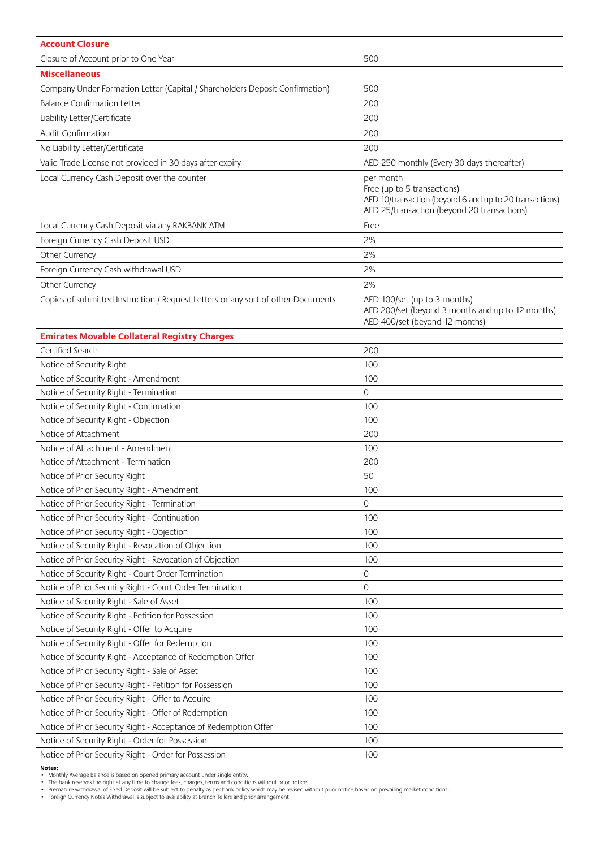| <b>Account Closure</b>                                                                               |                                                         |  |
|------------------------------------------------------------------------------------------------------|---------------------------------------------------------|--|
| Closure of Account prior to One Year                                                                 | 500                                                     |  |
| <b>Miscellaneous</b>                                                                                 |                                                         |  |
| Company Under Formation Letter (Capital / Shareholders Deposit Confirmation)                         | 500                                                     |  |
| <b>Balance Confirmation Letter</b>                                                                   | 200                                                     |  |
| Liability Letter/Certificate                                                                         | 200                                                     |  |
| Audit Confirmation                                                                                   | 200                                                     |  |
| No Liability Letter/Certificate                                                                      | 200                                                     |  |
| Valid Trade License not provided in 30 days after expiry                                             | AED 250 monthly (Every 30 days thereafter)              |  |
| Local Currency Cash Deposit over the counter                                                         | per month                                               |  |
|                                                                                                      | Free (up to 5 transactions)                             |  |
|                                                                                                      | AED 10/transaction (beyond 6 and up to 20 transactions) |  |
|                                                                                                      | AED 25/transaction (beyond 20 transactions)             |  |
| Local Currency Cash Deposit via any RAKBANK ATM                                                      | Free                                                    |  |
| Foreign Currency Cash Deposit USD                                                                    | 2%                                                      |  |
| Other Currency                                                                                       | 2%                                                      |  |
| Foreign Currency Cash withdrawal USD                                                                 | 2%                                                      |  |
| Other Currency                                                                                       | 2%                                                      |  |
| Copies of submitted Instruction / Request Letters or any sort of other Documents                     | AED 100/set (up to 3 months)                            |  |
|                                                                                                      | AED 200/set (beyond 3 months and up to 12 months)       |  |
|                                                                                                      | AED 400/set (beyond 12 months)                          |  |
| <b>Emirates Movable Collateral Registry Charges</b>                                                  |                                                         |  |
| Certified Search                                                                                     | 200                                                     |  |
| Notice of Security Right                                                                             | 100                                                     |  |
| Notice of Security Right - Amendment                                                                 | 100                                                     |  |
| Notice of Security Right - Termination                                                               | $\overline{0}$                                          |  |
| Notice of Security Right - Continuation                                                              | 100                                                     |  |
| Notice of Security Right - Objection                                                                 | 100                                                     |  |
| Notice of Attachment                                                                                 | 200                                                     |  |
| Notice of Attachment - Amendment                                                                     | 100                                                     |  |
| Notice of Attachment - Termination                                                                   | 200                                                     |  |
| Notice of Prior Security Right                                                                       | 50                                                      |  |
| Notice of Prior Security Right - Amendment                                                           | 100                                                     |  |
| Notice of Prior Security Right - Termination                                                         | 0                                                       |  |
| Notice of Prior Security Right - Continuation                                                        | 100                                                     |  |
| Notice of Prior Security Right - Objection                                                           | 100                                                     |  |
| Notice of Security Right - Revocation of Objection                                                   | 100                                                     |  |
| Notice of Prior Security Right - Revocation of Objection                                             | 100                                                     |  |
| Notice of Security Right - Court Order Termination                                                   | $\circ$<br>$\overline{0}$                               |  |
| Notice of Prior Security Right - Court Order Termination<br>Notice of Security Right - Sale of Asset | 100                                                     |  |
| Notice of Security Right - Petition for Possession                                                   | 100                                                     |  |
| Notice of Security Right - Offer to Acquire                                                          |                                                         |  |
| Notice of Security Right - Offer for Redemption                                                      | 100                                                     |  |
| Notice of Security Right - Acceptance of Redemption Offer                                            | 100<br>100                                              |  |
| Notice of Prior Security Right - Sale of Asset                                                       | 100                                                     |  |
| Notice of Prior Security Right - Petition for Possession                                             | 100                                                     |  |
| Notice of Prior Security Right - Offer to Acquire                                                    | 100                                                     |  |
| Notice of Prior Security Right - Offer of Redemption                                                 | 100                                                     |  |
| Notice of Prior Security Right - Acceptance of Redemption Offer                                      | 100                                                     |  |
| Notice of Security Right - Order for Possession                                                      | 100                                                     |  |
| Notice of Prior Security Right - Order for Possession                                                | 100                                                     |  |
|                                                                                                      |                                                         |  |

Notes:<br>• Monthly Average Balance is based on opened primary account under single entity.<br>• The bank reserves the right at any time to change fees, charges, terms and conditions without prior notice.<br>• Premature withdrawal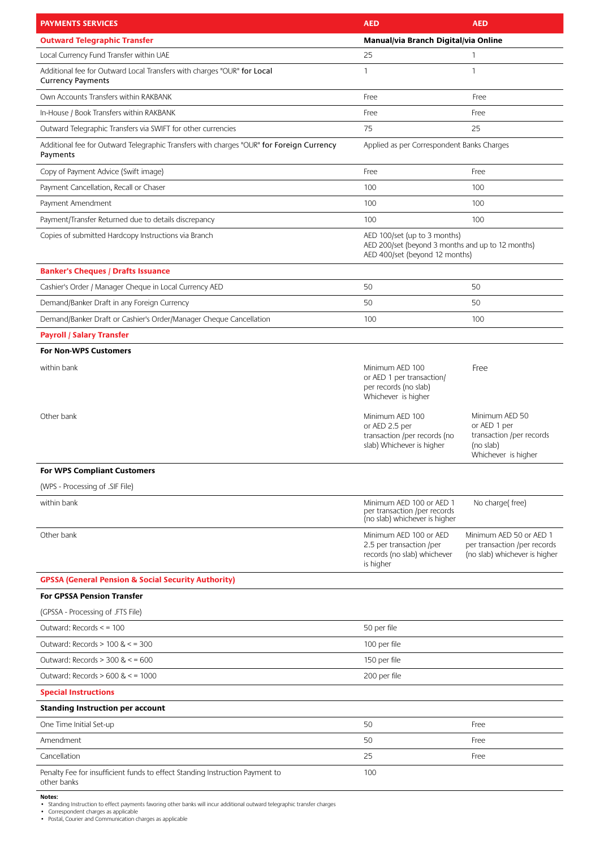| <b>PAYMENTS SERVICES</b>                                                                             | <b>AED</b>                                                                                                          | <b>AED</b>                                                                                     |
|------------------------------------------------------------------------------------------------------|---------------------------------------------------------------------------------------------------------------------|------------------------------------------------------------------------------------------------|
| <b>Outward Telegraphic Transfer</b>                                                                  | Manual/via Branch Digital/via Online                                                                                |                                                                                                |
| Local Currency Fund Transfer within UAE                                                              | 25                                                                                                                  | $\mathbf{1}$                                                                                   |
| Additional fee for Outward Local Transfers with charges "OUR" for Local<br><b>Currency Payments</b>  | 1                                                                                                                   | $\mathbf{1}$                                                                                   |
| Own Accounts Transfers within RAKBANK                                                                | Free                                                                                                                | Free                                                                                           |
| In-House / Book Transfers within RAKBANK                                                             | Free                                                                                                                | Free                                                                                           |
| Outward Telegraphic Transfers via SWIFT for other currencies                                         | 75                                                                                                                  | 25                                                                                             |
| Additional fee for Outward Telegraphic Transfers with charges "OUR" for Foreign Currency<br>Payments | Applied as per Correspondent Banks Charges                                                                          |                                                                                                |
| Copy of Payment Advice (Swift image)                                                                 | Free                                                                                                                | Free                                                                                           |
| Payment Cancellation, Recall or Chaser                                                               | 100                                                                                                                 | 100                                                                                            |
| Payment Amendment                                                                                    | 100                                                                                                                 | 100                                                                                            |
| Payment/Transfer Returned due to details discrepancy                                                 | 100                                                                                                                 | 100                                                                                            |
| Copies of submitted Hardcopy Instructions via Branch                                                 | AED 100/set (up to 3 months)<br>AED 200/set (beyond 3 months and up to 12 months)<br>AED 400/set (beyond 12 months) |                                                                                                |
| <b>Banker's Cheques / Drafts Issuance</b>                                                            |                                                                                                                     |                                                                                                |
| Cashier's Order / Manager Cheque in Local Currency AED                                               | 50                                                                                                                  | 50                                                                                             |
| Demand/Banker Draft in any Foreign Currency                                                          | 50                                                                                                                  | 50                                                                                             |
| Demand/Banker Draft or Cashier's Order/Manager Cheque Cancellation                                   | 100                                                                                                                 | 100                                                                                            |
| <b>Payroll / Salary Transfer</b>                                                                     |                                                                                                                     |                                                                                                |
| <b>For Non-WPS Customers</b>                                                                         |                                                                                                                     |                                                                                                |
| within bank                                                                                          | Minimum AED 100<br>or AED 1 per transaction/<br>per records (no slab)<br>Whichever is higher                        | Free                                                                                           |
| Other bank                                                                                           | Minimum AED 100<br>or AED 2.5 per<br>transaction /per records (no<br>slab) Whichever is higher                      | Minimum AED 50<br>or AED 1 per<br>transaction /per records<br>(no slab)<br>Whichever is higher |
| <b>For WPS Compliant Customers</b>                                                                   |                                                                                                                     |                                                                                                |
| (WPS - Processing of .SIF File)                                                                      |                                                                                                                     |                                                                                                |
| within bank                                                                                          | Minimum AED 100 or AED 1<br>per transaction /per records<br>(no slab) whichever is higher                           | No charge(free)                                                                                |
| Other bank                                                                                           | Minimum AED 100 or AED<br>2.5 per transaction /per<br>records (no slab) whichever<br>is higher                      | Minimum AED 50 or AED 1<br>per transaction /per records<br>(no slab) whichever is higher       |
| <b>GPSSA (General Pension &amp; Social Security Authority)</b>                                       |                                                                                                                     |                                                                                                |
| <b>For GPSSA Pension Transfer</b>                                                                    |                                                                                                                     |                                                                                                |
| (GPSSA - Processing of .FTS File)                                                                    |                                                                                                                     |                                                                                                |
| Outward: Records $\le$ = 100                                                                         | 50 per file                                                                                                         |                                                                                                |
| Outward: Records $> 100$ & $\leq$ = 300                                                              | 100 per file                                                                                                        |                                                                                                |
| Outward: Records $>$ 300 & $\lt$ = 600                                                               | 150 per file                                                                                                        |                                                                                                |
| Outward: Records $> 600$ & $< 1000$                                                                  | 200 per file                                                                                                        |                                                                                                |
| <b>Special Instructions</b>                                                                          |                                                                                                                     |                                                                                                |
| <b>Standing Instruction per account</b>                                                              |                                                                                                                     |                                                                                                |
| One Time Initial Set-up                                                                              | 50                                                                                                                  | Free                                                                                           |
| Amendment                                                                                            | 50                                                                                                                  | Free                                                                                           |
| Cancellation                                                                                         | 25                                                                                                                  | Free                                                                                           |
| Penalty Fee for insufficient funds to effect Standing Instruction Payment to<br>other banks          | 100                                                                                                                 |                                                                                                |

Notes:<br>• Standing Instruction to effect payments favoring other banks will incur additional outward telegraphic transfer charges<br>• Correspondent charges as applicable<br>• Postal, Courier and Communication charges as applicab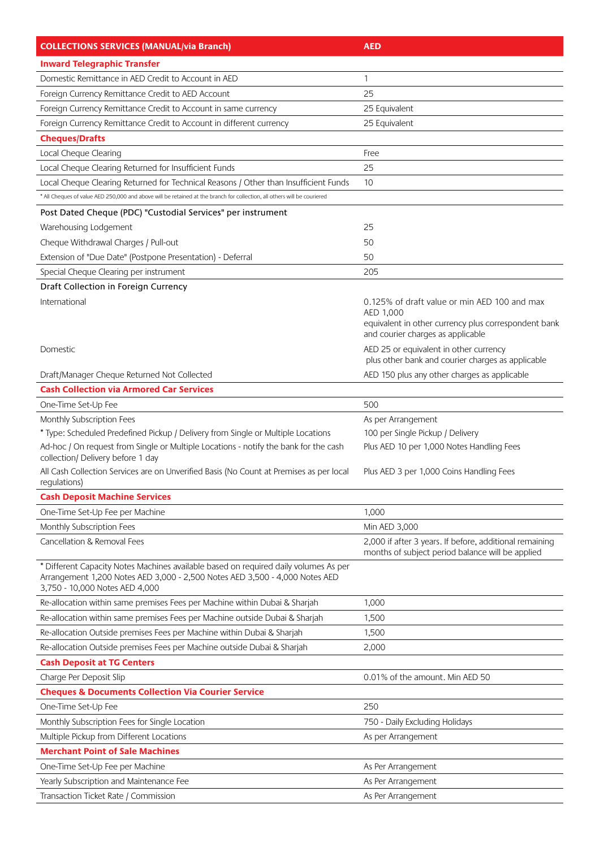| <b>COLLECTIONS SERVICES (MANUAL/via Branch)</b>                                                                                                                                                       | <b>AED</b>                                                        |  |
|-------------------------------------------------------------------------------------------------------------------------------------------------------------------------------------------------------|-------------------------------------------------------------------|--|
| <b>Inward Telegraphic Transfer</b>                                                                                                                                                                    |                                                                   |  |
| Domestic Remittance in AED Credit to Account in AED                                                                                                                                                   | $\mathbf{1}$                                                      |  |
| Foreign Currency Remittance Credit to AED Account                                                                                                                                                     | 25                                                                |  |
| Foreign Currency Remittance Credit to Account in same currency                                                                                                                                        | 25 Equivalent                                                     |  |
| Foreign Currency Remittance Credit to Account in different currency                                                                                                                                   | 25 Equivalent                                                     |  |
| <b>Cheques/Drafts</b>                                                                                                                                                                                 |                                                                   |  |
| Local Cheque Clearing                                                                                                                                                                                 | Free                                                              |  |
| Local Cheque Clearing Returned for Insufficient Funds                                                                                                                                                 | 25                                                                |  |
| Local Cheque Clearing Returned for Technical Reasons / Other than Insufficient Funds                                                                                                                  | 10                                                                |  |
| * All Cheques of value AED 250,000 and above will be retained at the branch for collection, all others will be couriered                                                                              |                                                                   |  |
| Post Dated Cheque (PDC) "Custodial Services" per instrument                                                                                                                                           |                                                                   |  |
| Warehousing Lodgement                                                                                                                                                                                 | 25                                                                |  |
| Cheque Withdrawal Charges / Pull-out                                                                                                                                                                  | 50                                                                |  |
| Extension of "Due Date" (Postpone Presentation) - Deferral                                                                                                                                            | 50                                                                |  |
| Special Cheque Clearing per instrument                                                                                                                                                                | 205                                                               |  |
| Draft Collection in Foreign Currency                                                                                                                                                                  |                                                                   |  |
| International                                                                                                                                                                                         | 0.125% of draft value or min AED 100 and max                      |  |
|                                                                                                                                                                                                       | AED 1,000<br>equivalent in other currency plus correspondent bank |  |
|                                                                                                                                                                                                       | and courier charges as applicable                                 |  |
| Domestic                                                                                                                                                                                              | AED 25 or equivalent in other currency                            |  |
|                                                                                                                                                                                                       | plus other bank and courier charges as applicable                 |  |
| Draft/Manager Cheque Returned Not Collected                                                                                                                                                           | AED 150 plus any other charges as applicable                      |  |
| <b>Cash Collection via Armored Car Services</b>                                                                                                                                                       |                                                                   |  |
| One-Time Set-Up Fee                                                                                                                                                                                   | 500                                                               |  |
| Monthly Subscription Fees                                                                                                                                                                             | As per Arrangement                                                |  |
| * Type: Scheduled Predefined Pickup / Delivery from Single or Multiple Locations                                                                                                                      | 100 per Single Pickup / Delivery                                  |  |
| Ad-hoc / On request from Single or Multiple Locations - notify the bank for the cash<br>collection/ Delivery before 1 day                                                                             | Plus AED 10 per 1,000 Notes Handling Fees                         |  |
| All Cash Collection Services are on Unverified Basis (No Count at Premises as per local<br>regulations)                                                                                               | Plus AED 3 per 1,000 Coins Handling Fees                          |  |
| <b>Cash Deposit Machine Services</b>                                                                                                                                                                  |                                                                   |  |
| One-Time Set-Up Fee per Machine                                                                                                                                                                       | 1,000                                                             |  |
| Monthly Subscription Fees                                                                                                                                                                             | Min AED 3,000                                                     |  |
| Cancellation & Removal Fees                                                                                                                                                                           | 2,000 if after 3 years. If before, additional remaining           |  |
|                                                                                                                                                                                                       | months of subject period balance will be applied                  |  |
| * Different Capacity Notes Machines available based on required daily volumes As per<br>Arrangement 1,200 Notes AED 3,000 - 2,500 Notes AED 3,500 - 4,000 Notes AED<br>3,750 - 10,000 Notes AED 4,000 |                                                                   |  |
| Re-allocation within same premises Fees per Machine within Dubai & Sharjah                                                                                                                            | 1,000                                                             |  |
| Re-allocation within same premises Fees per Machine outside Dubai & Sharjah                                                                                                                           | 1,500                                                             |  |
| Re-allocation Outside premises Fees per Machine within Dubai & Sharjah                                                                                                                                | 1,500                                                             |  |
| Re-allocation Outside premises Fees per Machine outside Dubai & Sharjah                                                                                                                               | 2,000                                                             |  |
| <b>Cash Deposit at TG Centers</b>                                                                                                                                                                     |                                                                   |  |
| Charge Per Deposit Slip                                                                                                                                                                               | 0.01% of the amount. Min AED 50                                   |  |
| <b>Cheques &amp; Documents Collection Via Courier Service</b>                                                                                                                                         |                                                                   |  |
| One-Time Set-Up Fee                                                                                                                                                                                   | 250                                                               |  |
| Monthly Subscription Fees for Single Location                                                                                                                                                         | 750 - Daily Excluding Holidays                                    |  |
| Multiple Pickup from Different Locations                                                                                                                                                              | As per Arrangement                                                |  |
| <b>Merchant Point of Sale Machines</b>                                                                                                                                                                |                                                                   |  |
| One-Time Set-Up Fee per Machine                                                                                                                                                                       | As Per Arrangement                                                |  |
| Yearly Subscription and Maintenance Fee                                                                                                                                                               | As Per Arrangement                                                |  |
| Transaction Ticket Rate / Commission                                                                                                                                                                  | As Per Arrangement                                                |  |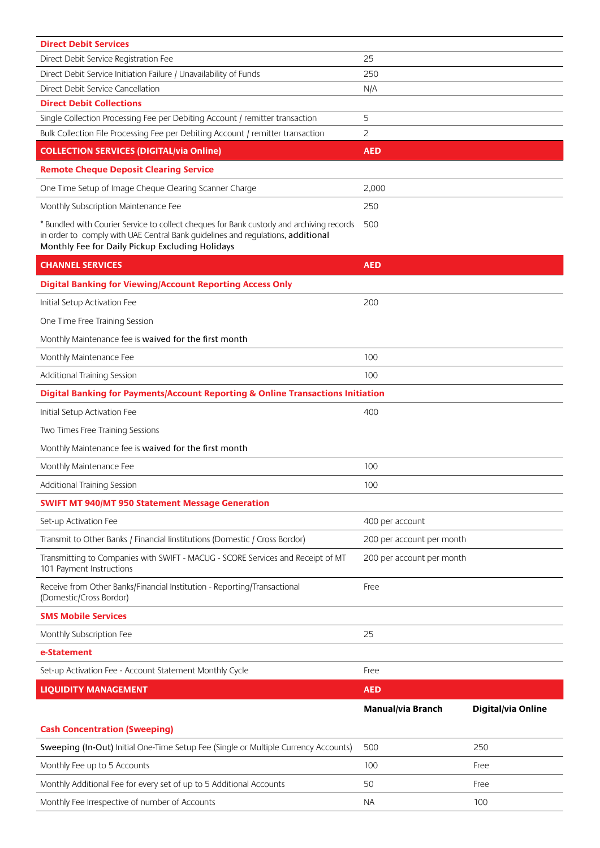| <b>Direct Debit Services</b>                                                                                                                                                                                                   |                           |                    |  |
|--------------------------------------------------------------------------------------------------------------------------------------------------------------------------------------------------------------------------------|---------------------------|--------------------|--|
| Direct Debit Service Registration Fee                                                                                                                                                                                          | 25                        |                    |  |
| Direct Debit Service Initiation Failure / Unavailability of Funds                                                                                                                                                              | 250                       |                    |  |
| Direct Debit Service Cancellation                                                                                                                                                                                              | N/A                       |                    |  |
| <b>Direct Debit Collections</b>                                                                                                                                                                                                |                           |                    |  |
| Single Collection Processing Fee per Debiting Account / remitter transaction<br>Bulk Collection File Processing Fee per Debiting Account / remitter transaction                                                                | 5<br>2                    |                    |  |
| <b>COLLECTION SERVICES (DIGITAL/via Online)</b>                                                                                                                                                                                | <b>AED</b>                |                    |  |
| <b>Remote Cheque Deposit Clearing Service</b>                                                                                                                                                                                  |                           |                    |  |
| One Time Setup of Image Cheque Clearing Scanner Charge                                                                                                                                                                         | 2,000                     |                    |  |
| Monthly Subscription Maintenance Fee                                                                                                                                                                                           | 250                       |                    |  |
| * Bundled with Courier Service to collect cheques for Bank custody and archiving records<br>in order to comply with UAE Central Bank quidelines and requlations, additional<br>Monthly Fee for Daily Pickup Excluding Holidays | 500                       |                    |  |
| <b>CHANNEL SERVICES</b>                                                                                                                                                                                                        | <b>AED</b>                |                    |  |
| <b>Digital Banking for Viewing/Account Reporting Access Only</b>                                                                                                                                                               |                           |                    |  |
| Initial Setup Activation Fee                                                                                                                                                                                                   | 200                       |                    |  |
| One Time Free Training Session                                                                                                                                                                                                 |                           |                    |  |
| Monthly Maintenance fee is waived for the first month                                                                                                                                                                          |                           |                    |  |
| Monthly Maintenance Fee                                                                                                                                                                                                        | 100                       |                    |  |
| Additional Training Session                                                                                                                                                                                                    | 100                       |                    |  |
| Digital Banking for Payments/Account Reporting & Online Transactions Initiation                                                                                                                                                |                           |                    |  |
| Initial Setup Activation Fee                                                                                                                                                                                                   | 400                       |                    |  |
| Two Times Free Training Sessions                                                                                                                                                                                               |                           |                    |  |
| Monthly Maintenance fee is waived for the first month                                                                                                                                                                          |                           |                    |  |
| Monthly Maintenance Fee                                                                                                                                                                                                        | 100                       |                    |  |
| Additional Training Session                                                                                                                                                                                                    | 100                       |                    |  |
| <b>SWIFT MT 940/MT 950 Statement Message Generation</b>                                                                                                                                                                        |                           |                    |  |
| Set-up Activation Fee                                                                                                                                                                                                          | 400 per account           |                    |  |
| Transmit to Other Banks / Financial linstitutions (Domestic / Cross Bordor)                                                                                                                                                    | 200 per account per month |                    |  |
| Transmitting to Companies with SWIFT - MACUG - SCORE Services and Receipt of MT<br>101 Payment Instructions                                                                                                                    | 200 per account per month |                    |  |
| Receive from Other Banks/Financial Institution - Reporting/Transactional<br>(Domestic/Cross Bordor)                                                                                                                            | Free                      |                    |  |
| <b>SMS Mobile Services</b>                                                                                                                                                                                                     |                           |                    |  |
| Monthly Subscription Fee                                                                                                                                                                                                       | 25                        |                    |  |
| e-Statement                                                                                                                                                                                                                    |                           |                    |  |
| Set-up Activation Fee - Account Statement Monthly Cycle                                                                                                                                                                        | Free                      |                    |  |
| <b>LIQUIDITY MANAGEMENT</b>                                                                                                                                                                                                    | <b>AED</b>                |                    |  |
|                                                                                                                                                                                                                                | Manual/via Branch         | Digital/via Online |  |
| <b>Cash Concentration (Sweeping)</b>                                                                                                                                                                                           |                           |                    |  |
| Sweeping (In-Out) Initial One-Time Setup Fee (Single or Multiple Currency Accounts)                                                                                                                                            | 500                       | 250                |  |
| Monthly Fee up to 5 Accounts                                                                                                                                                                                                   | 100                       | Free               |  |
| Monthly Additional Fee for every set of up to 5 Additional Accounts                                                                                                                                                            | 50                        | Free               |  |
| Monthly Fee Irrespective of number of Accounts                                                                                                                                                                                 | <b>NA</b>                 | 100                |  |